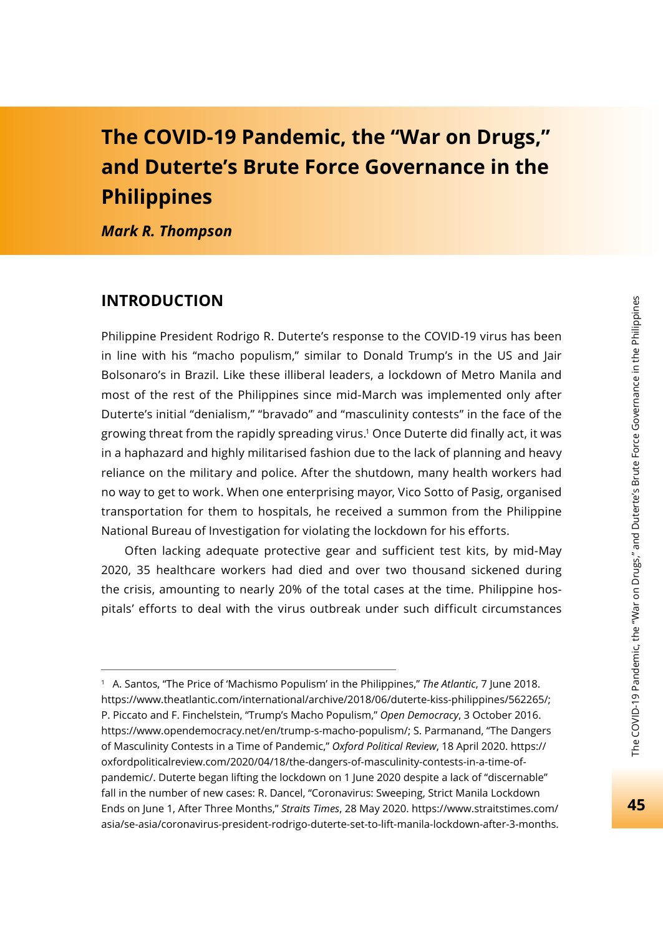# **The COVID-19 Pandemic, the "War on Drugs," and Duterte's Brute Force Governance in the Philippines**

*Mark R. Thompson*

#### **INTRODUCTION**

Philippine President Rodrigo R. Duterte's response to the COVID-19 virus has been in line with his "macho populism," similar to Donald Trump's in the US and Jair Bolsonaro's in Brazil. Like these illiberal leaders, a lockdown of Metro Manila and most of the rest of the Philippines since mid-March was implemented only after Duterte's initial "denialism," "bravado" and "masculinity contests" in the face of the growing threat from the rapidly spreading virus.1 Once Duterte did finally act, it was in a haphazard and highly militarised fashion due to the lack of planning and heavy reliance on the military and police. After the shutdown, many health workers had no way to get to work. When one enterprising mayor, Vico Sotto of Pasig, organised transportation for them to hospitals, he received a summon from the Philippine National Bureau of Investigation for violating the lockdown for his efforts.

Often lacking adequate protective gear and sufficient test kits, by mid-May 2020, 35 healthcare workers had died and over two thousand sickened during the crisis, amounting to nearly 20% of the total cases at the time. Philippine hospitals' efforts to deal with the virus outbreak under such difficult circumstances

<sup>1</sup> A. Santos, "The Price of 'Machismo Populism' in the Philippines," *The Atlantic*, 7 June 2018. https://www.theatlantic.com/international/archive/2018/06/duterte-kiss-philippines/562265/; P. Piccato and F. Finchelstein, "Trump's Macho Populism," *Open Democracy*, 3 October 2016. https://www.opendemocracy.net/en/trump-s-macho-populism/; S. Parmanand, "The Dangers of Masculinity Contests in a Time of Pandemic," *Oxford Political Review*, 18 April 2020. https:// oxfordpoliticalreview.com/2020/04/18/the-dangers-of-masculinity-contests-in-a-time-ofpandemic/. Duterte began lifting the lockdown on 1 June 2020 despite a lack of "discernable" fall in the number of new cases: R. Dancel, "Coronavirus: Sweeping, Strict Manila Lockdown Ends on June 1, After Three Months," *Straits Times*, 28 May 2020. https://www.straitstimes.com/ asia/se-asia/coronavirus-president-rodrigo-duterte-set-to-lift-manila-lockdown-after-3-months.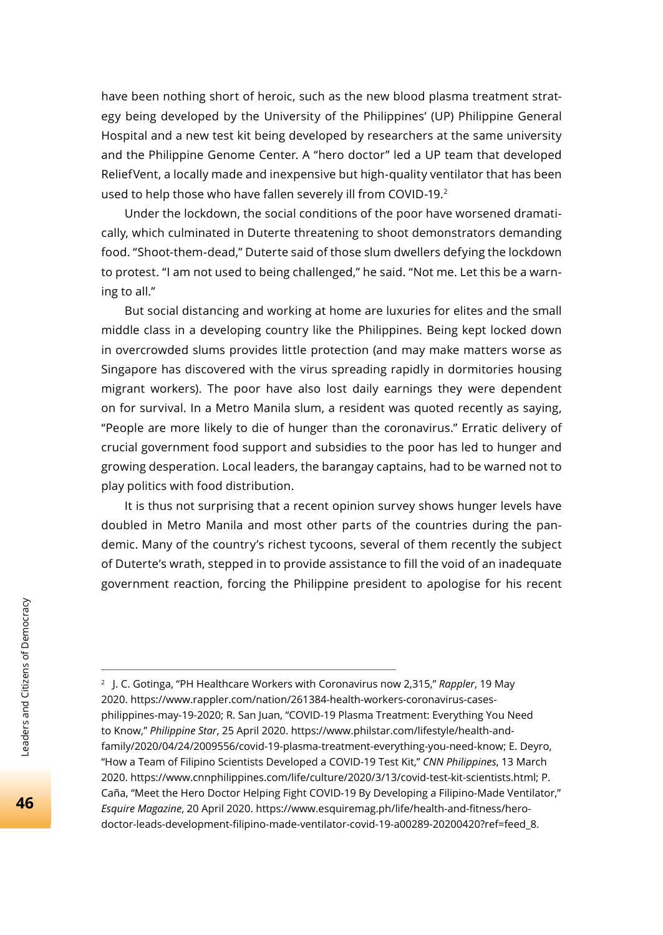have been nothing short of heroic, such as the new blood plasma treatment strategy being developed by the University of the Philippines' (UP) Philippine General Hospital and a new test kit being developed by researchers at the same university and the Philippine Genome Center. A "hero doctor" led a UP team that developed ReliefVent, a locally made and inexpensive but high-quality ventilator that has been used to help those who have fallen severely ill from COVID-19.<sup>2</sup>

Under the lockdown, the social conditions of the poor have worsened dramatically, which culminated in Duterte threatening to shoot demonstrators demanding food. "Shoot-them-dead," Duterte said of those slum dwellers defying the lockdown to protest. "I am not used to being challenged," he said. "Not me. Let this be a warning to all."

But social distancing and working at home are luxuries for elites and the small middle class in a developing country like the Philippines. Being kept locked down in overcrowded slums provides little protection (and may make matters worse as Singapore has discovered with the virus spreading rapidly in dormitories housing migrant workers). The poor have also lost daily earnings they were dependent on for survival. In a Metro Manila slum, a resident was quoted recently as saying, "People are more likely to die of hunger than the coronavirus." Erratic delivery of crucial government food support and subsidies to the poor has led to hunger and growing desperation. Local leaders, the barangay captains, had to be warned not to play politics with food distribution.

It is thus not surprising that a recent opinion survey shows hunger levels have doubled in Metro Manila and most other parts of the countries during the pandemic. Many of the country's richest tycoons, several of them recently the subject of Duterte's wrath, stepped in to provide assistance to fill the void of an inadequate government reaction, forcing the Philippine president to apologise for his recent

<sup>2</sup> J. C. Gotinga, "PH Healthcare Workers with Coronavirus now 2,315," *Rappler*, 19 May 2020. https://www.rappler.com/nation/261384-health-workers-coronavirus-casesphilippines-may-19-2020; R. San Juan, "COVID-19 Plasma Treatment: Everything You Need to Know," *Philippine Star*, 25 April 2020. https://www.philstar.com/lifestyle/health-andfamily/2020/04/24/2009556/covid-19-plasma-treatment-everything-you-need-know; E. Deyro, "How a Team of Filipino Scientists Developed a COVID-19 Test Kit," *CNN Philippines*, 13 March 2020. https://www.cnnphilippines.com/life/culture/2020/3/13/covid-test-kit-scientists.html; P. Caña, "Meet the Hero Doctor Helping Fight COVID-19 By Developing a Filipino-Made Ventilator," Esquire Magazine, 20 April 2020. https://www.esquiremag.ph/life/health-and-fitness/herodoctor-leads-development-filipino-made-ventilator-covid-19-a00289-20200420?ref=feed\_8.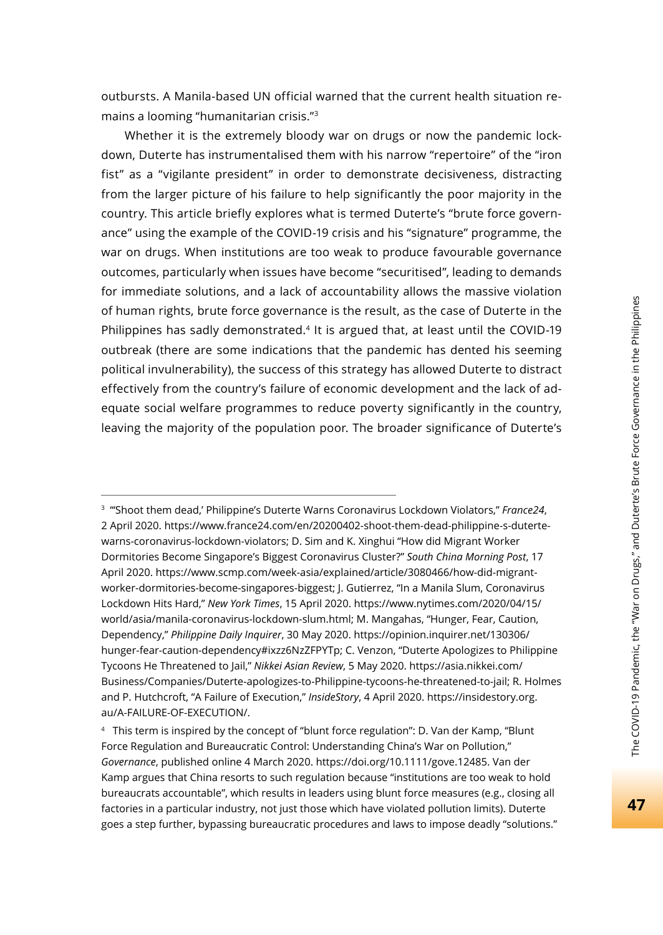outbursts. A Manila-based UN official warned that the current health situation remains a looming "humanitarian crisis."3

Whether it is the extremely bloody war on drugs or now the pandemic lockdown, Duterte has instrumentalised them with his narrow "repertoire" of the "iron fist" as a "vigilante president" in order to demonstrate decisiveness, distracting from the larger picture of his failure to help significantly the poor majority in the country. This article briefly explores what is termed Duterte's "brute force governance" using the example of the COVID-19 crisis and his "signature" programme, the war on drugs. When institutions are too weak to produce favourable governance outcomes, particularly when issues have become "securitised", leading to demands for immediate solutions, and a lack of accountability allows the massive violation of human rights, brute force governance is the result, as the case of Duterte in the Philippines has sadly demonstrated.4 It is argued that, at least until the COVID-19 outbreak (there are some indications that the pandemic has dented his seeming political invulnerability), the success of this strategy has allowed Duterte to distract effectively from the country's failure of economic development and the lack of adequate social welfare programmes to reduce poverty significantly in the country, leaving the majority of the population poor. The broader significance of Duterte's

<sup>3</sup> "'Shoot them dead,' Philippine's Duterte Warns Coronavirus Lockdown Violators," *France24*, 2 April 2020. https://www.france24.com/en/20200402-shoot-them-dead-philippine-s-dutertewarns-coronavirus-lockdown-violators; D. Sim and K. Xinghui "How did Migrant Worker Dormitories Become Singapore's Biggest Coronavirus Cluster?" *South China Morning Post*, 17 April 2020. https://www.scmp.com/week-asia/explained/article/3080466/how-did-migrantworker-dormitories-become-singapores-biggest; J. Gutierrez, "In a Manila Slum, Coronavirus Lockdown Hits Hard," *New York Times*, 15 April 2020. https://www.nytimes.com/2020/04/15/ world/asia/manila-coronavirus-lockdown-slum.html; M. Mangahas, "Hunger, Fear, Caution, Dependency," *Philippine Daily Inquirer*, 30 May 2020. https://opinion.inquirer.net/130306/ hunger-fear-caution-dependency#ixzz6NzZFPYTp; C. Venzon, "Duterte Apologizes to Philippine Tycoons He Threatened to Jail," *Nikkei Asian Review*, 5 May 2020. https://asia.nikkei.com/ Business/Companies/Duterte-apologizes-to-Philippine-tycoons-he-threatened-to-jail; R. Holmes and P. Hutchcroft, "A Failure of Execution," *InsideStory*, 4 April 2020. https://insidestory.org. au/A-FAILURE-OF-EXECUTION/.

<sup>4</sup> This term is inspired by the concept of "blunt force regulation": D. Van der Kamp, "Blunt Force Regulation and Bureaucratic Control: Understanding China's War on Pollution," *Governance*, published online 4 March 2020. https://doi.org/10.1111/gove.12485. Van der Kamp argues that China resorts to such regulation because "institutions are too weak to hold bureaucrats accountable", which results in leaders using blunt force measures (e.g., closing all factories in a particular industry, not just those which have violated pollution limits). Duterte goes a step further, bypassing bureaucratic procedures and laws to impose deadly "solutions."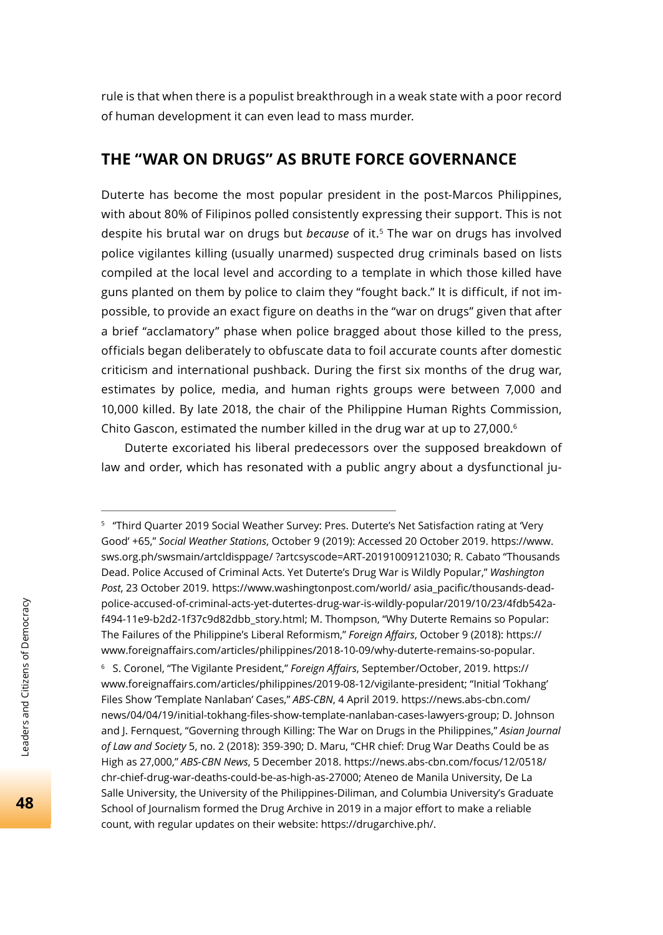rule is that when there is a populist breakthrough in a weak state with a poor record of human development it can even lead to mass murder.

## **THE "WAR ON DRUGS" AS BRUTE FORCE GOVERNANCE**

Duterte has become the most popular president in the post-Marcos Philippines, with about 80% of Filipinos polled consistently expressing their support. This is not despite his brutal war on drugs but *because* of it.5 The war on drugs has involved police vigilantes killing (usually unarmed) suspected drug criminals based on lists compiled at the local level and according to a template in which those killed have guns planted on them by police to claim they "fought back." It is difficult, if not impossible, to provide an exact figure on deaths in the "war on drugs" given that after a brief "acclamatory" phase when police bragged about those killed to the press, officials began deliberately to obfuscate data to foil accurate counts after domestic criticism and international pushback. During the first six months of the drug war, estimates by police, media, and human rights groups were between 7,000 and 10,000 killed. By late 2018, the chair of the Philippine Human Rights Commission, Chito Gascon, estimated the number killed in the drug war at up to 27,000.6

Duterte excoriated his liberal predecessors over the supposed breakdown of law and order, which has resonated with a public angry about a dysfunctional ju-

<sup>6</sup> S. Coronel, "The Vigilante President," *Foreign Affairs*, September/October, 2019. https:// www.foreignaffairs.com/articles/philippines/2019-08-12/vigilante-president; "Initial 'Tokhang' Files Show 'Template Nanlaban' Cases," *ABS-CBN*, 4 April 2019. https://news.abs-cbn.com/ news/04/04/19/initial-tokhang-fi les-show-template-nanlaban-cases-lawyers-group; D. Johnson and J. Fernquest, "Governing through Killing: The War on Drugs in the Philippines," *Asian Journal of Law and Society* 5, no. 2 (2018): 359-390; D. Maru, "CHR chief: Drug War Deaths Could be as High as 27,000," *ABS-CBN News*, 5 December 2018. https://news.abs-cbn.com/focus/12/0518/ chr-chief-drug-war-deaths-could-be-as-high-as-27000; Ateneo de Manila University, De La Salle University, the University of the Philippines-Diliman, and Columbia University's Graduate School of Journalism formed the Drug Archive in 2019 in a major effort to make a reliable count, with regular updates on their website: https://drugarchive.ph/.

<sup>5 &</sup>quot;Third Quarter 2019 Social Weather Survey: Pres. Duterte's Net Satisfaction rating at 'Very Good' +65," *Social Weather Stations*, October 9 (2019): Accessed 20 October 2019. https://www. sws.org.ph/swsmain/artcldisppage/ ?artcsyscode=ART-20191009121030; R. Cabato "Thousands Dead. Police Accused of Criminal Acts. Yet Duterte's Drug War is Wildly Popular," *Washington*  Post, 23 October 2019. https://www.washingtonpost.com/world/ asia\_pacific/thousands-deadpolice-accused-of-criminal-acts-yet-dutertes-drug-war-is-wildly-popular/2019/10/23/4fdb542af494-11e9-b2d2-1f37c9d82dbb\_story.html; M. Thompson, "Why Duterte Remains so Popular: The Failures of the Philippine's Liberal Reformism," *Foreign Aff airs*, October 9 (2018): https:// www.foreignaffairs.com/articles/philippines/2018-10-09/why-duterte-remains-so-popular.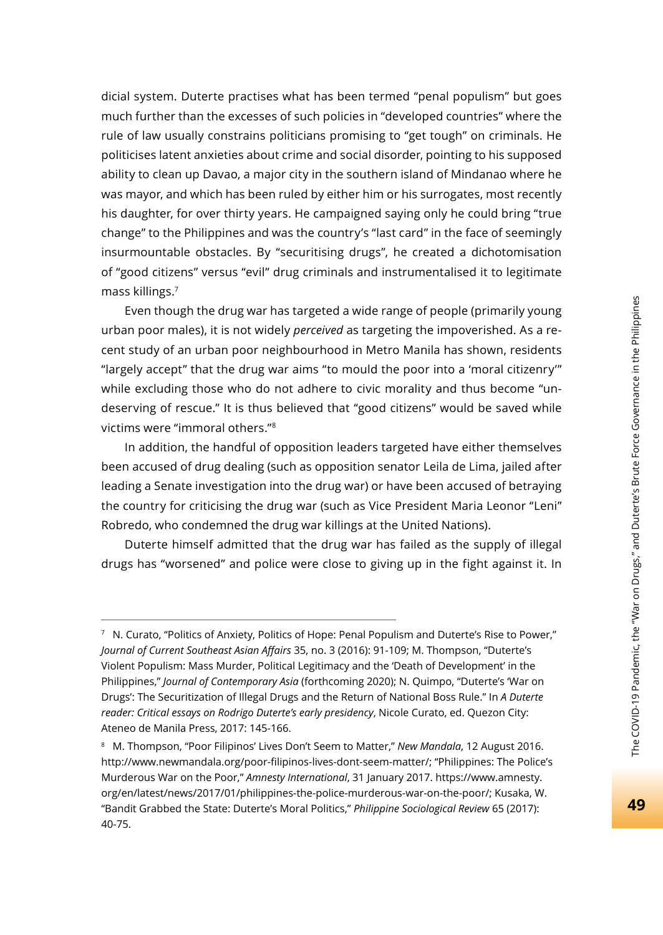dicial system. Duterte practises what has been termed "penal populism" but goes much further than the excesses of such policies in "developed countries" where the rule of law usually constrains politicians promising to "get tough" on criminals. He politicises latent anxieties about crime and social disorder, pointing to his supposed ability to clean up Davao, a major city in the southern island of Mindanao where he was mayor, and which has been ruled by either him or his surrogates, most recently his daughter, for over thirty years. He campaigned saying only he could bring "true change" to the Philippines and was the country's "last card" in the face of seemingly insurmountable obstacles. By "securitising drugs", he created a dichotomisation of "good citizens" versus "evil" drug criminals and instrumentalised it to legitimate mass killings.7

Even though the drug war has targeted a wide range of people (primarily young urban poor males), it is not widely *perceived* as targeting the impoverished. As a recent study of an urban poor neighbourhood in Metro Manila has shown, residents "largely accept" that the drug war aims "to mould the poor into a 'moral citizenry'" while excluding those who do not adhere to civic morality and thus become "undeserving of rescue." It is thus believed that "good citizens" would be saved while victims were "immoral others."8

In addition, the handful of opposition leaders targeted have either themselves been accused of drug dealing (such as opposition senator Leila de Lima, jailed after leading a Senate investigation into the drug war) or have been accused of betraying the country for criticising the drug war (such as Vice President Maria Leonor "Leni" Robredo, who condemned the drug war killings at the United Nations).

Duterte himself admitted that the drug war has failed as the supply of illegal drugs has "worsened" and police were close to giving up in the fight against it. In

<sup>7</sup> N. Curato, "Politics of Anxiety, Politics of Hope: Penal Populism and Duterte's Rise to Power," *Journal of Current Southeast Asian Aff airs* 35, no. 3 (2016): 91-109; M. Thompson, "Duterte's Violent Populism: Mass Murder, Political Legitimacy and the 'Death of Development' in the Philippines," *Journal of Contemporary Asia* (forthcoming 2020); N. Quimpo, "Duterte's 'War on Drugs': The Securitization of Illegal Drugs and the Return of National Boss Rule." In *A Duterte reader: Critical essays on Rodrigo Duterte's early presidency*, Nicole Curato, ed. Quezon City: Ateneo de Manila Press, 2017: 145-166.

<sup>8</sup> M. Thompson, "Poor Filipinos' Lives Don't Seem to Matter," *New Mandala*, 12 August 2016. http://www.newmandala.org/poor-filipinos-lives-dont-seem-matter/; "Philippines: The Police's Murderous War on the Poor," *Amnesty International*, 31 January 2017. https://www.amnesty. org/en/latest/news/2017/01/philippines-the-police-murderous-war-on-the-poor/; Kusaka, W. "Bandit Grabbed the State: Duterte's Moral Politics," *Philippine Sociological Review* 65 (2017): 40-75.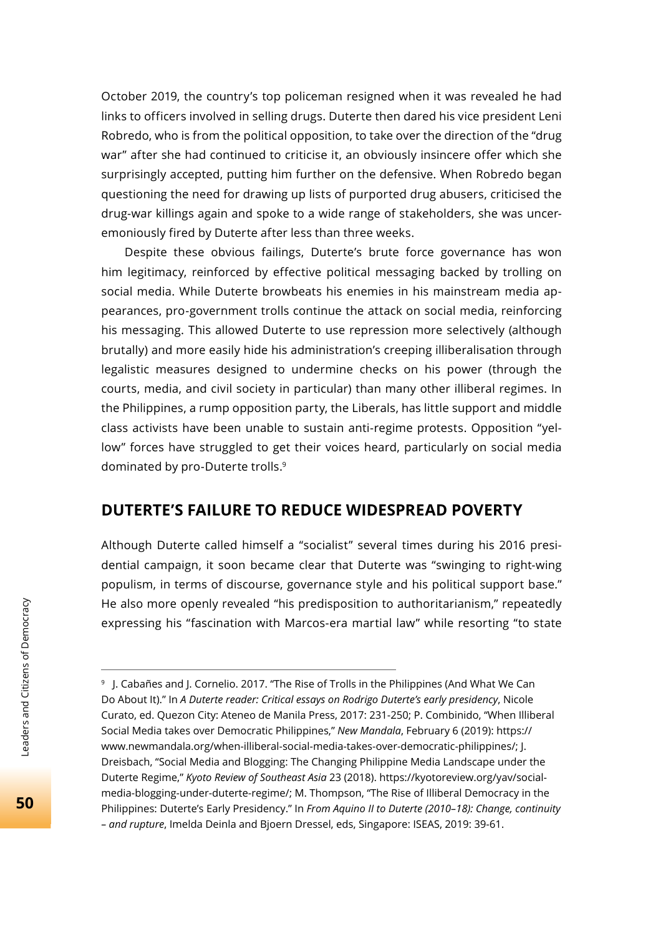October 2019, the country's top policeman resigned when it was revealed he had links to officers involved in selling drugs. Duterte then dared his vice president Leni Robredo, who is from the political opposition, to take over the direction of the "drug war" after she had continued to criticise it, an obviously insincere offer which she surprisingly accepted, putting him further on the defensive. When Robredo began questioning the need for drawing up lists of purported drug abusers, criticised the drug-war killings again and spoke to a wide range of stakeholders, she was unceremoniously fired by Duterte after less than three weeks.

Despite these obvious failings, Duterte's brute force governance has won him legitimacy, reinforced by effective political messaging backed by trolling on social media. While Duterte browbeats his enemies in his mainstream media appearances, pro-government trolls continue the attack on social media, reinforcing his messaging. This allowed Duterte to use repression more selectively (although brutally) and more easily hide his administration's creeping illiberalisation through legalistic measures designed to undermine checks on his power (through the courts, media, and civil society in particular) than many other illiberal regimes. In the Philippines, a rump opposition party, the Liberals, has little support and middle class activists have been unable to sustain anti-regime protests. Opposition "yellow" forces have struggled to get their voices heard, particularly on social media dominated by pro-Duterte trolls.9

### **DUTERTE'S FAILURE TO REDUCE WIDESPREAD POVERTY**

Although Duterte called himself a "socialist" several times during his 2016 presidential campaign, it soon became clear that Duterte was "swinging to right-wing populism, in terms of discourse, governance style and his political support base." He also more openly revealed "his predisposition to authoritarianism," repeatedly expressing his "fascination with Marcos-era martial law" while resorting "to state

<sup>&</sup>lt;sup>9</sup> J. Cabañes and J. Cornelio. 2017. "The Rise of Trolls in the Philippines (And What We Can Do About It)." In *A Duterte reader: Critical essays on Rodrigo Duterte's early presidency*, Nicole Curato, ed. Quezon City: Ateneo de Manila Press, 2017: 231-250; P. Combinido, "When Illiberal Social Media takes over Democratic Philippines," *New Mandala*, February 6 (2019): https:// www.newmandala.org/when-illiberal-social-media-takes-over-democratic-philippines/; J. Dreisbach, "Social Media and Blogging: The Changing Philippine Media Landscape under the Duterte Regime," *Kyoto Review of Southeast Asia* 23 (2018). https://kyotoreview.org/yav/socialmedia-blogging-under-duterte-regime/; M. Thompson, "The Rise of Illiberal Democracy in the Philippines: Duterte's Early Presidency." In *From Aquino II to Duterte (2010–18): Change, continuity – and rupture*, Imelda Deinla and Bjoern Dressel, eds, Singapore: ISEAS, 2019: 39-61.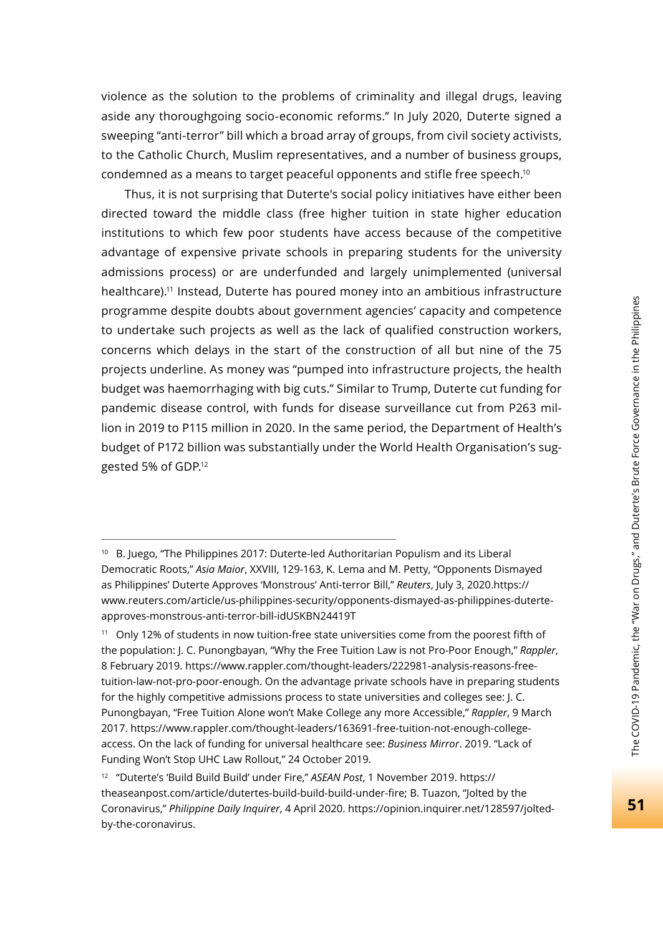violence as the solution to the problems of criminality and illegal drugs, leaving aside any thoroughgoing socio-economic reforms." In July 2020, Duterte signed a sweeping "anti-terror" bill which a broad array of groups, from civil society activists, to the Catholic Church, Muslim representatives, and a number of business groups, condemned as a means to target peaceful opponents and stifle free speech.10

Thus, it is not surprising that Duterte's social policy initiatives have either been directed toward the middle class (free higher tuition in state higher education institutions to which few poor students have access because of the competitive advantage of expensive private schools in preparing students for the university admissions process) or are underfunded and largely unimplemented (universal healthcare).11 Instead, Duterte has poured money into an ambitious infrastructure programme despite doubts about government agencies' capacity and competence to undertake such projects as well as the lack of qualified construction workers, concerns which delays in the start of the construction of all but nine of the 75 projects underline. As money was "pumped into infrastructure projects, the health budget was haemorrhaging with big cuts." Similar to Trump, Duterte cut funding for pandemic disease control, with funds for disease surveillance cut from P263 million in 2019 to P115 million in 2020. In the same period, the Department of Health's budget of P172 billion was substantially under the World Health Organisation's suggested 5% of GDP.12

<sup>10</sup> B. Juego, "The Philippines 2017: Duterte-led Authoritarian Populism and its Liberal Democratic Roots," *Asia Maior*, XXVIII, 129-163, K. Lema and M. Petty, "Opponents Dismayed as Philippines' Duterte Approves 'Monstrous' Anti-terror Bill," *Reuters*, July 3, 2020.https:// www.reuters.com/article/us-philippines-security/opponents-dismayed-as-philippines-duterteapproves-monstrous-anti-terror-bill-idUSKBN24419T

<sup>&</sup>lt;sup>11</sup> Only 12% of students in now tuition-free state universities come from the poorest fifth of the population: J. C. Punongbayan, "Why the Free Tuition Law is not Pro-Poor Enough," *Rappler*, 8 February 2019. https://www.rappler.com/thought-leaders/222981-analysis-reasons-freetuition-law-not-pro-poor-enough. On the advantage private schools have in preparing students for the highly competitive admissions process to state universities and colleges see: J. C. Punongbayan, "Free Tuition Alone won't Make College any more Accessible," *Rappler*, 9 March 2017. https://www.rappler.com/thought-leaders/163691-free-tuition-not-enough-collegeaccess. On the lack of funding for universal healthcare see: *Business Mirror*. 2019. "Lack of Funding Won't Stop UHC Law Rollout," 24 October 2019.

<sup>12 &</sup>quot;Duterte's 'Build Build Build' under Fire," *ASEAN Post*, 1 November 2019. https:// theaseanpost.com/article/dutertes-build-build-build-under-fire; B. Tuazon, "Jolted by the Coronavirus," *Philippine Daily Inquirer*, 4 April 2020. https://opinion.inquirer.net/128597/joltedby-the-coronavirus.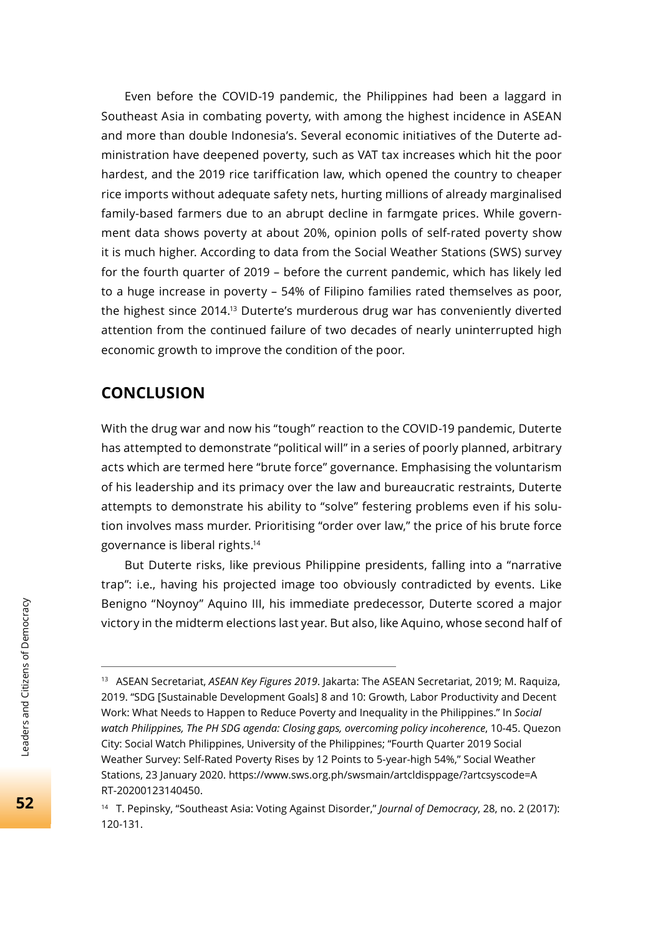Even before the COVID-19 pandemic, the Philippines had been a laggard in Southeast Asia in combating poverty, with among the highest incidence in ASEAN and more than double Indonesia's. Several economic initiatives of the Duterte administration have deepened poverty, such as VAT tax increases which hit the poor hardest, and the 2019 rice tariffication law, which opened the country to cheaper rice imports without adequate safety nets, hurting millions of already marginalised family-based farmers due to an abrupt decline in farmgate prices. While government data shows poverty at about 20%, opinion polls of self-rated poverty show it is much higher. According to data from the Social Weather Stations (SWS) survey for the fourth quarter of 2019 – before the current pandemic, which has likely led to a huge increase in poverty – 54% of Filipino families rated themselves as poor, the highest since 2014.13 Duterte's murderous drug war has conveniently diverted attention from the continued failure of two decades of nearly uninterrupted high economic growth to improve the condition of the poor.

## **CONCLUSION**

With the drug war and now his "tough" reaction to the COVID-19 pandemic, Duterte has attempted to demonstrate "political will" in a series of poorly planned, arbitrary acts which are termed here "brute force" governance. Emphasising the voluntarism of his leadership and its primacy over the law and bureaucratic restraints, Duterte attempts to demonstrate his ability to "solve" festering problems even if his solution involves mass murder. Prioritising "order over law," the price of his brute force governance is liberal rights.14

But Duterte risks, like previous Philippine presidents, falling into a "narrative trap": i.e., having his projected image too obviously contradicted by events. Like Benigno "Noynoy" Aquino III, his immediate predecessor, Duterte scored a major victory in the midterm elections last year. But also, like Aquino, whose second half of

<sup>13</sup> ASEAN Secretariat, *ASEAN Key Figures 2019*. Jakarta: The ASEAN Secretariat, 2019; M. Raquiza, 2019. "SDG [Sustainable Development Goals] 8 and 10: Growth, Labor Productivity and Decent Work: What Needs to Happen to Reduce Poverty and Inequality in the Philippines." In *Social watch Philippines, The PH SDG agenda: Closing gaps, overcoming policy incoherence*, 10-45. Quezon City: Social Watch Philippines, University of the Philippines; "Fourth Quarter 2019 Social Weather Survey: Self-Rated Poverty Rises by 12 Points to 5-year-high 54%," Social Weather Stations, 23 January 2020. https://www.sws.org.ph/swsmain/artcldisppage/?artcsyscode=A RT-20200123140450.

<sup>14</sup> T. Pepinsky, "Southeast Asia: Voting Against Disorder," *Journal of Democracy*, 28, no. 2 (2017): 120-131.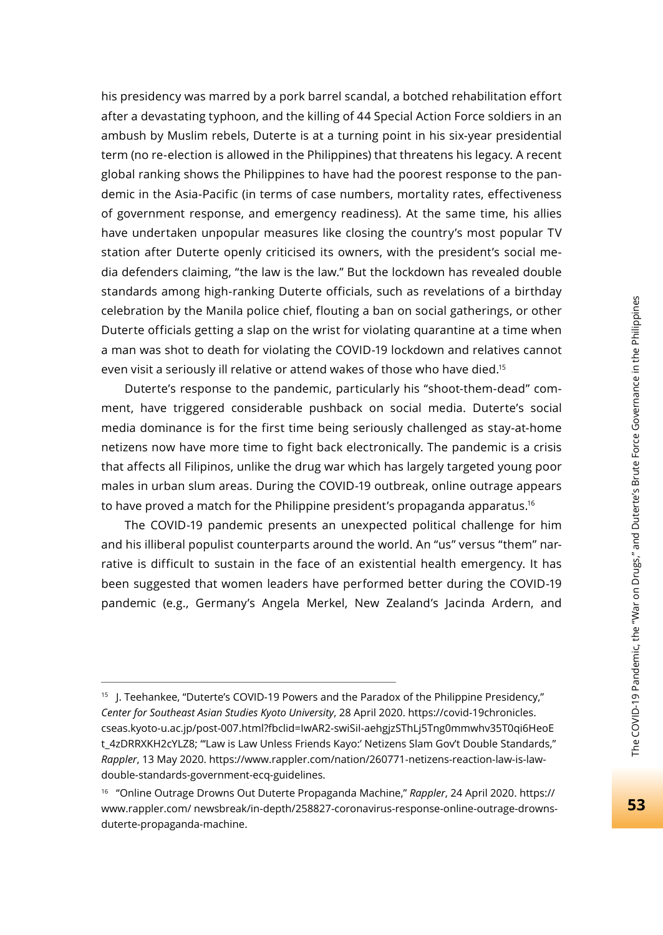his presidency was marred by a pork barrel scandal, a botched rehabilitation effort after a devastating typhoon, and the killing of 44 Special Action Force soldiers in an ambush by Muslim rebels, Duterte is at a turning point in his six-year presidential term (no re-election is allowed in the Philippines) that threatens his legacy. A recent global ranking shows the Philippines to have had the poorest response to the pandemic in the Asia-Pacific (in terms of case numbers, mortality rates, effectiveness of government response, and emergency readiness). At the same time, his allies have undertaken unpopular measures like closing the country's most popular TV station after Duterte openly criticised its owners, with the president's social media defenders claiming, "the law is the law." But the lockdown has revealed double standards among high-ranking Duterte officials, such as revelations of a birthday celebration by the Manila police chief, flouting a ban on social gatherings, or other Duterte officials getting a slap on the wrist for violating quarantine at a time when a man was shot to death for violating the COVID-19 lockdown and relatives cannot even visit a seriously ill relative or attend wakes of those who have died.15

Duterte's response to the pandemic, particularly his "shoot-them-dead" comment, have triggered considerable pushback on social media. Duterte's social media dominance is for the first time being seriously challenged as stay-at-home netizens now have more time to fight back electronically. The pandemic is a crisis that affects all Filipinos, unlike the drug war which has largely targeted young poor males in urban slum areas. During the COVID-19 outbreak, online outrage appears to have proved a match for the Philippine president's propaganda apparatus.<sup>16</sup>

The COVID-19 pandemic presents an unexpected political challenge for him and his illiberal populist counterparts around the world. An "us" versus "them" narrative is difficult to sustain in the face of an existential health emergency. It has been suggested that women leaders have performed better during the COVID-19 pandemic (e.g., Germany's Angela Merkel, New Zealand's Jacinda Ardern, and

<sup>15</sup> J. Teehankee, "Duterte's COVID-19 Powers and the Paradox of the Philippine Presidency," *Center for Southeast Asian Studies Kyoto University*, 28 April 2020. https://covid-19chronicles. cseas.kyoto-u.ac.jp/post-007.html?fbclid=IwAR2-swiSiI-aehgjzSThLj5Tng0mmwhv35T0qi6HeoE t 4zDRRXKH2cYLZ8; "'Law is Law Unless Friends Kayo:' Netizens Slam Gov't Double Standards," *Rappler*, 13 May 2020. https://www.rappler.com/nation/260771-netizens-reaction-law-is-lawdouble-standards-government-ecq-guidelines.

<sup>16 &</sup>quot;Online Outrage Drowns Out Duterte Propaganda Machine," *Rappler*, 24 April 2020. https:// www.rappler.com/ newsbreak/in-depth/258827-coronavirus-response-online-outrage-drownsduterte-propaganda-machine.